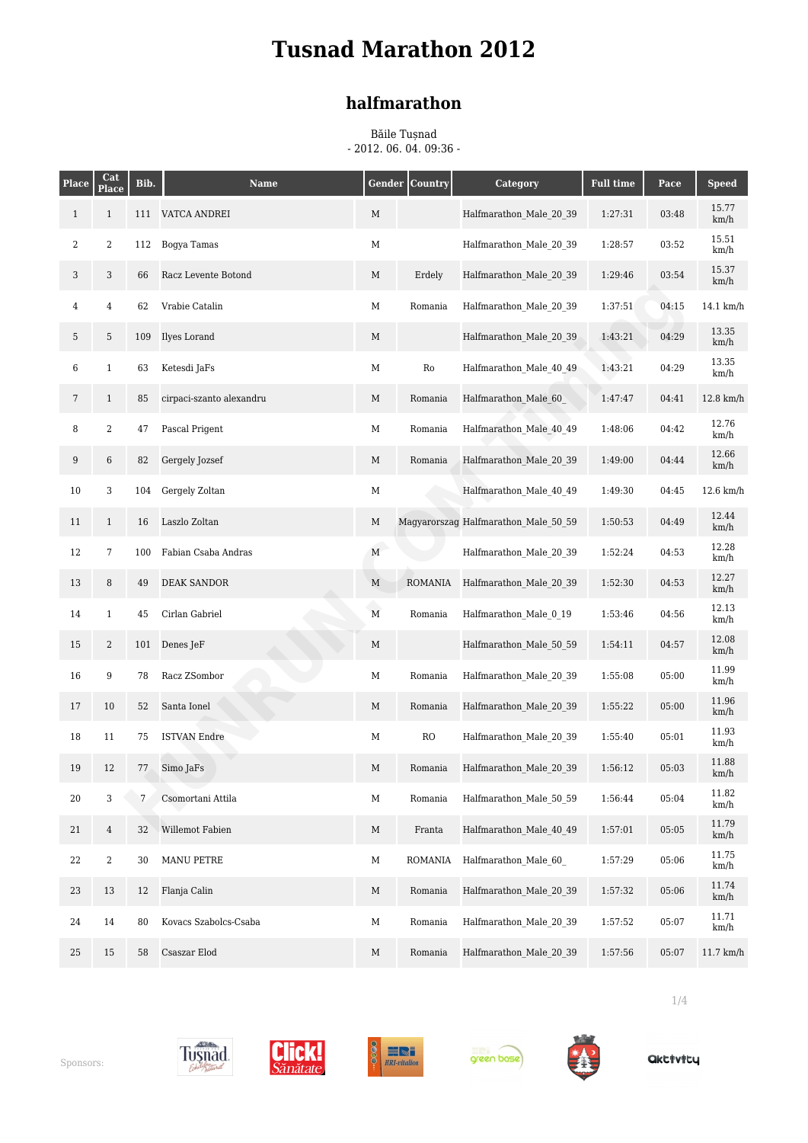### **halfmarathon**

Băile Tușnad - 2012. 06. 04. 09:36 -

| <b>Place</b>     | Cat<br>Place     | Bib. | <b>Name</b>              |             | <b>Gender Country</b> | Category                             | <b>Full time</b> | Pace  | <b>Speed</b>  |
|------------------|------------------|------|--------------------------|-------------|-----------------------|--------------------------------------|------------------|-------|---------------|
| $\mathbf{1}$     | $\mathbf{1}$     | 111  | VATCA ANDREI             | $\mathbf M$ |                       | Halfmarathon Male 20 39              | 1:27:31          | 03:48 | 15.77<br>km/h |
| $\boldsymbol{2}$ | $\boldsymbol{2}$ | 112  | Bogya Tamas              | $\mathbf M$ |                       | Halfmarathon Male 20 39              | 1:28:57          | 03:52 | 15.51<br>km/h |
| 3                | 3                | 66   | Racz Levente Botond      | M           | Erdely                | Halfmarathon Male 20 39              | 1:29:46          | 03:54 | 15.37<br>km/h |
| 4                | $\bf{4}$         | 62   | Vrabie Catalin           | $\mathbf M$ | Romania               | Halfmarathon Male 20 39              | 1:37:51          | 04:15 | 14.1 km/h     |
| 5                | 5                | 109  | Ilyes Lorand             | M           |                       | Halfmarathon Male 20 39              | 1:43:21          | 04:29 | 13.35<br>km/h |
| 6                | $\mathbf{1}$     | 63   | Ketesdi JaFs             | М           | $\rm Ro$              | Halfmarathon Male 40 49              | 1:43:21          | 04:29 | 13.35<br>km/h |
| 7                | $\mathbf{1}$     | 85   | cirpaci-szanto alexandru | M           | Romania               | Halfmarathon Male 60                 | 1:47:47          | 04:41 | $12.8$ km/h   |
| 8                | $\boldsymbol{2}$ | 47   | Pascal Prigent           | М           | Romania               | Halfmarathon Male 40 49              | 1:48:06          | 04:42 | 12.76<br>km/h |
| 9                | $\,6$            | 82   | Gergely Jozsef           | M           | Romania               | Halfmarathon Male 20 39              | 1:49:00          | 04:44 | 12.66<br>km/h |
| 10               | 3                | 104  | Gergely Zoltan           | $\mathbf M$ |                       | Halfmarathon Male 40 49              | 1:49:30          | 04:45 | $12.6$ km/h   |
| 11               | $\mathbf{1}$     | 16   | Laszlo Zoltan            | M           |                       | Magyarorszag Halfmarathon Male 50 59 | 1:50:53          | 04:49 | 12.44<br>km/h |
| 12               | $\overline{7}$   | 100  | Fabian Csaba Andras      | M           |                       | Halfmarathon Male 20 39              | 1:52:24          | 04:53 | 12.28<br>km/h |
| 13               | 8                | 49   | <b>DEAK SANDOR</b>       | M           | ROMANIA               | Halfmarathon Male 20 39              | 1:52:30          | 04:53 | 12.27<br>km/h |
| 14               | $\mathbf{1}$     | 45   | Cirlan Gabriel           | $\mathbf M$ | Romania               | Halfmarathon Male 0 19               | 1:53:46          | 04:56 | 12.13<br>km/h |
| 15               | $\boldsymbol{2}$ | 101  | Denes JeF                | $\mathbf M$ |                       | Halfmarathon Male 50 59              | 1:54:11          | 04:57 | 12.08<br>km/h |
| 16               | $\boldsymbol{9}$ | 78   | Racz ZSombor             | М           | Romania               | Halfmarathon Male 20 39              | 1:55:08          | 05:00 | 11.99<br>km/h |
| 17               | 10               | 52   | Santa Ionel              | M           | Romania               | Halfmarathon Male 20 39              | 1:55:22          | 05:00 | 11.96<br>km/h |
| 18               | 11               | 75   | <b>ISTVAN Endre</b>      | $\mathbf M$ | ${\rm RO}$            | Halfmarathon Male 20 39              | 1:55:40          | 05:01 | 11.93<br>km/h |
| 19               | 12               | 77   | Simo JaFs                | M           | Romania               | Halfmarathon Male 20 39              | 1:56:12          | 05:03 | 11.88<br>km/h |
| 20               | 3                | 7    | Csomortani Attila        | М           | Romania               | Halfmarathon Male 50 59              | 1:56:44          | 05:04 | 11.82<br>km/h |
| 21               | $\overline{4}$   | 32   | Willemot Fabien          | $\mathbf M$ | Franta                | Halfmarathon Male 40 49              | 1:57:01          | 05:05 | 11.79<br>km/h |
| 22               | $\boldsymbol{2}$ | 30   | <b>MANU PETRE</b>        | $\mathbf M$ | ROMANIA               | Halfmarathon Male 60                 | 1:57:29          | 05:06 | 11.75<br>km/h |
| 23               | 13               | 12   | Flanja Calin             | M           | Romania               | Halfmarathon Male 20 39              | 1:57:32          | 05:06 | 11.74<br>km/h |
| 24               | 14               | 80   | Kovacs Szabolcs-Csaba    | $\mathbf M$ | Romania               | Halfmarathon Male 20 39              | 1:57:52          | 05:07 | 11.71<br>km/h |
| 25               | 15               | 58   | Csaszar Elod             | M           | Romania               | Halfmarathon Male 20 39              | 1:57:56          | 05:07 | $11.7$ km/h   |











**Qktivity** 

1/4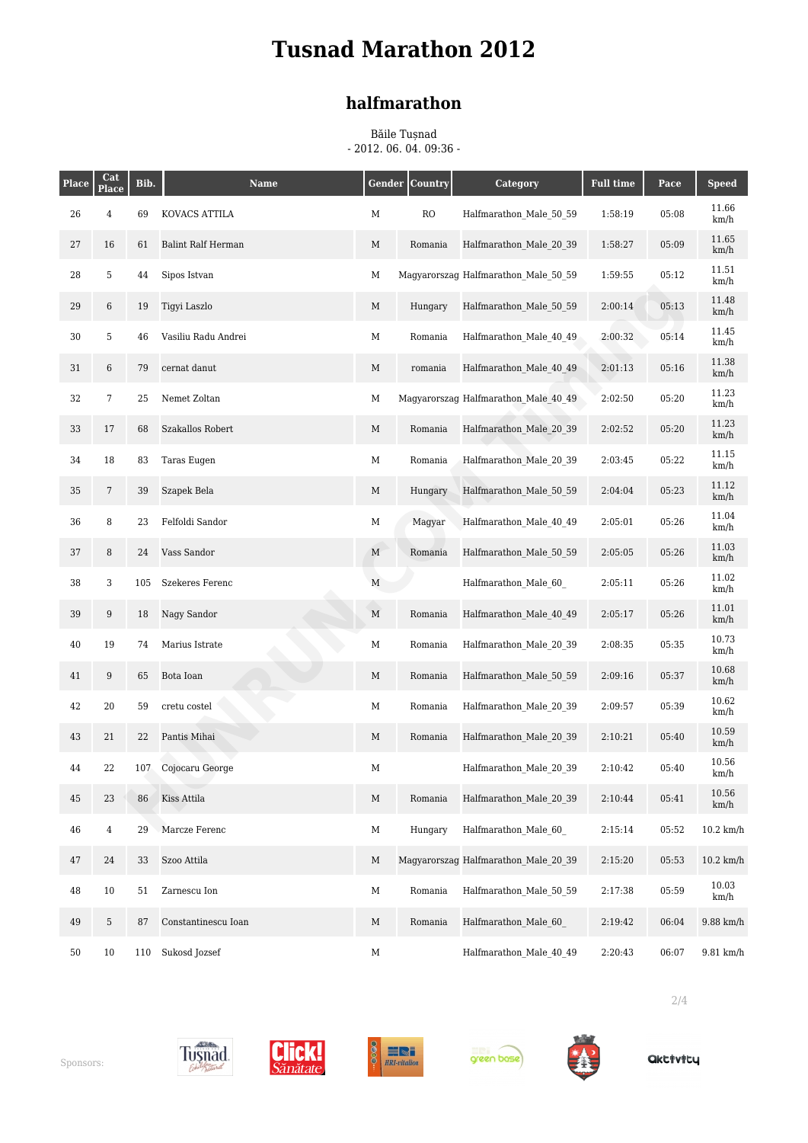### **halfmarathon**

Băile Tușnad - 2012. 06. 04. 09:36 -

| <b>Place</b> | Cat<br>Place   | Bib. | <b>Name</b>         |             | <b>Gender Country</b> | Category                             | <b>Full time</b> | Pace  | <b>Speed</b>  |
|--------------|----------------|------|---------------------|-------------|-----------------------|--------------------------------------|------------------|-------|---------------|
| 26           | $\overline{4}$ | 69   | KOVACS ATTILA       | M           | RO                    | Halfmarathon Male 50 59              | 1:58:19          | 05:08 | 11.66<br>km/h |
| 27           | 16             | 61   | Balint Ralf Herman  | $\mathbf M$ | Romania               | Halfmarathon Male 20 39              | 1:58:27          | 05:09 | 11.65<br>km/h |
| 28           | 5              | 44   | Sipos Istvan        | M           |                       | Magyarorszag Halfmarathon Male 50 59 | 1:59:55          | 05:12 | 11.51<br>km/h |
| 29           | 6              | 19   | Tigyi Laszlo        | M           | Hungary               | Halfmarathon Male 50 59              | 2:00:14          | 05:13 | 11.48<br>km/h |
| 30           | 5              | 46   | Vasiliu Radu Andrei | $\mathbf M$ | Romania               | Halfmarathon Male 40 49              | 2:00:32          | 05:14 | 11.45<br>km/h |
| 31           | 6              | 79   | cernat danut        | $\mathbf M$ | romania               | Halfmarathon Male 40 49              | 2:01:13          | 05:16 | 11.38<br>km/h |
| 32           | $\overline{7}$ | 25   | Nemet Zoltan        | M           |                       | Magyarorszag Halfmarathon Male 40 49 | 2:02:50          | 05:20 | 11.23<br>km/h |
| 33           | 17             | 68   | Szakallos Robert    | M           | Romania               | Halfmarathon Male 20 39              | 2:02:52          | 05:20 | 11.23<br>km/h |
| 34           | 18             | 83   | Taras Eugen         | М           | Romania               | Halfmarathon Male 20 39              | 2:03:45          | 05:22 | 11.15<br>km/h |
| 35           | 7              | 39   | Szapek Bela         | M           | Hungary               | Halfmarathon Male 50 59              | 2:04:04          | 05:23 | 11.12<br>km/h |
| 36           | 8              | 23   | Felfoldi Sandor     | M           | Magyar                | Halfmarathon Male 40 49              | 2:05:01          | 05:26 | 11.04<br>km/h |
| 37           | 8              | 24   | Vass Sandor         | $\mathbf M$ | Romania               | Halfmarathon Male 50 59              | 2:05:05          | 05:26 | 11.03<br>km/h |
| 38           | 3              | 105  | Szekeres Ferenc     | $\mathbf M$ |                       | Halfmarathon Male 60                 | 2:05:11          | 05:26 | 11.02<br>km/h |
| 39           | 9              | 18   | Nagy Sandor         | $\mathbf M$ | Romania               | Halfmarathon Male 40 49              | 2:05:17          | 05:26 | 11.01<br>km/h |
| 40           | 19             | 74   | Marius Istrate      | M           | Romania               | Halfmarathon Male 20 39              | 2:08:35          | 05:35 | 10.73<br>km/h |
| 41           | 9              | 65   | Bota Ioan           | M           | Romania               | Halfmarathon Male 50 59              | 2:09:16          | 05:37 | 10.68<br>km/h |
| 42           | 20             | 59   | cretu costel        | М           | Romania               | Halfmarathon Male 20 39              | 2:09:57          | 05:39 | 10.62<br>km/h |
| 43           | 21             | 22   | Pantis Mihai        | M           | Romania               | Halfmarathon Male 20 39              | 2:10:21          | 05:40 | 10.59<br>km/h |
| 44           | 22             | 107  | Cojocaru George     | M           |                       | Halfmarathon Male 20 39              | 2:10:42          | 05:40 | 10.56<br>km/h |
| 45           | 23             | 86   | Kiss Attila         | M           | Romania               | Halfmarathon Male 20 39              | 2:10:44          | 05:41 | 10.56<br>km/h |
| 46           | $\overline{4}$ | 29   | Marcze Ferenc       | $\mathbf M$ | Hungary               | Halfmarathon Male 60                 | 2:15:14          | 05:52 | $10.2$ km/h   |
| 47           | 24             | 33   | Szoo Attila         | $\mathbf M$ |                       | Magyarorszag Halfmarathon Male 20 39 | 2:15:20          | 05:53 | $10.2$ km/h   |
| 48           | $10\,$         | 51   | Zarnescu Ion        | $\mathbf M$ | Romania               | Halfmarathon Male 50 59              | 2:17:38          | 05:59 | 10.03<br>km/h |
| 49           | 5              | 87   | Constantinescu Ioan | M           | Romania               | Halfmarathon Male 60                 | 2:19:42          | 06:04 | 9.88 km/h     |
| 50           | 10             | 110  | Sukosd Jozsef       | $\mathbf M$ |                       | Halfmarathon Male 40 49              | 2:20:43          | 06:07 | 9.81 km/h     |











**Qktivity** 

2/4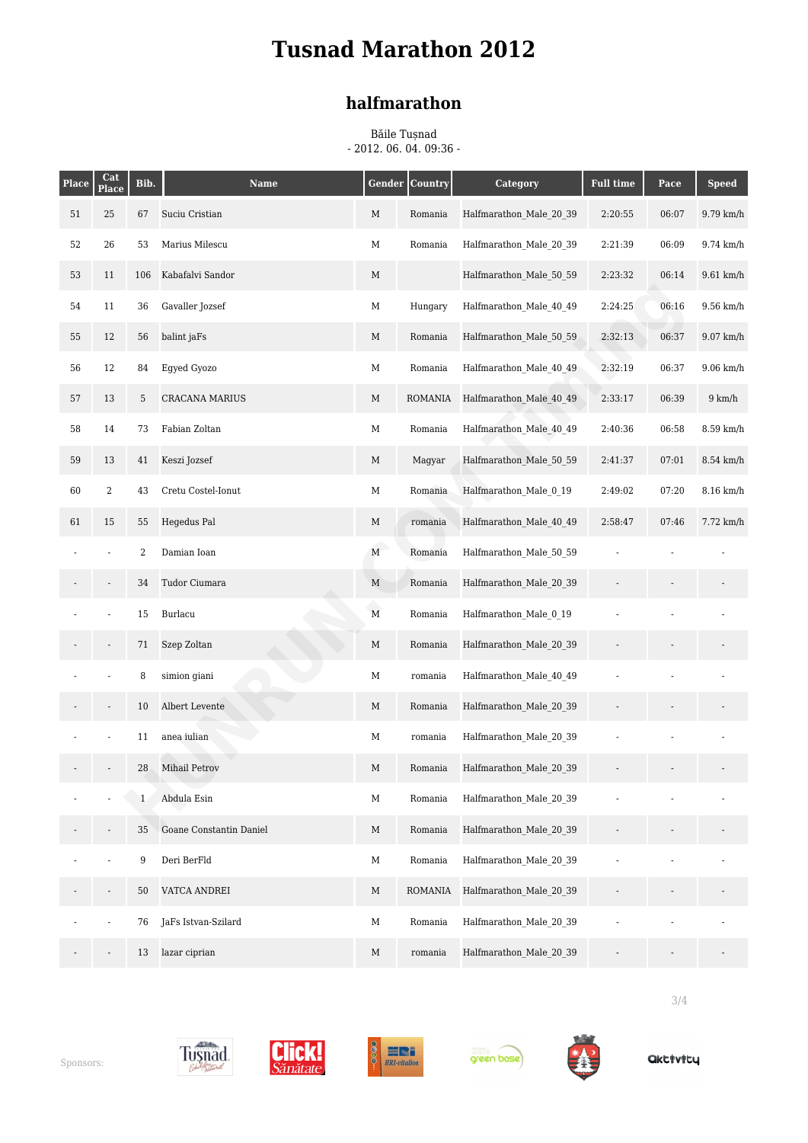### **halfmarathon**

Băile Tușnad - 2012. 06. 04. 09:36 -

| <b>Place</b> | Cat<br>Place     | Bib.             | <b>Name</b>             | <b>Gender</b>  | Country        | <b>Category</b>         | <b>Full time</b> | Pace  | <b>Speed</b>     |
|--------------|------------------|------------------|-------------------------|----------------|----------------|-------------------------|------------------|-------|------------------|
| 51           | 25               | 67               | Suciu Cristian          | M              | Romania        | Halfmarathon Male 20 39 | 2:20:55          | 06:07 | 9.79 km/h        |
| 52           | 26               | 53               | Marius Milescu          | $\mathbf M$    | Romania        | Halfmarathon Male 20 39 | 2:21:39          | 06:09 | 9.74 km/h        |
| 53           | 11               | 106              | Kabafalvi Sandor        | M              |                | Halfmarathon Male 50 59 | 2:23:32          | 06:14 | $9.61$ km/h      |
| 54           | 11               | 36               | Gavaller Jozsef         | $\mathbf M$    | Hungary        | Halfmarathon Male 40 49 | 2:24:25          | 06:16 | 9.56 km/h        |
| 55           | 12               | 56               | balint jaFs             | M              | Romania        | Halfmarathon Male 50 59 | 2:32:13          | 06:37 | 9.07 km/h        |
| 56           | 12               | 84               | Egyed Gyozo             | $\mathbf M$    | Romania        | Halfmarathon Male 40 49 | 2:32:19          | 06:37 | $9.06$ km/h      |
| 57           | 13               | 5                | <b>CRACANA MARIUS</b>   | M              | <b>ROMANIA</b> | Halfmarathon Male 40 49 | 2:33:17          | 06:39 | $9 \text{ km/h}$ |
| 58           | 14               | 73               | Fabian Zoltan           | $\mathbf M$    | Romania        | Halfmarathon Male 40 49 | 2:40:36          | 06:58 | 8.59 km/h        |
| 59           | 13               | 41               | Keszi Jozsef            | M              | Magyar         | Halfmarathon Male 50 59 | 2:41:37          | 07:01 | 8.54 km/h        |
| 60           | $\boldsymbol{2}$ | 43               | Cretu Costel-Ionut      | $\mathbf M$    | Romania        | Halfmarathon Male 0 19  | 2:49:02          | 07:20 | 8.16 km/h        |
| 61           | 15               | 55               | Hegedus Pal             | M              | romania        | Halfmarathon Male 40 49 | 2:58:47          | 07:46 | 7.72 km/h        |
|              |                  | $\boldsymbol{2}$ | Damian Ioan             | $\mathbf M$    | Romania        | Halfmarathon Male 50 59 |                  |       |                  |
|              |                  | 34               | Tudor Ciumara           | $\mathbf M$    | Romania        | Halfmarathon_Male_20_39 |                  |       |                  |
|              |                  | 15               | Burlacu                 | $\overline{M}$ | Romania        | Halfmarathon Male 0 19  |                  |       |                  |
|              |                  | 71               | Szep Zoltan             | M              | Romania        | Halfmarathon Male 20 39 |                  |       |                  |
|              |                  | 8                | simion giani            | $\mathbf M$    | romania        | Halfmarathon Male 40 49 |                  |       |                  |
|              |                  | 10               | Albert Levente          | M              | Romania        | Halfmarathon Male 20 39 |                  |       |                  |
|              |                  | 11               | anea iulian             | $\mathbf M$    | romania        | Halfmarathon Male 20 39 |                  |       |                  |
|              |                  | 28               | Mihail Petrov           | M              | Romania        | Halfmarathon Male 20 39 |                  |       |                  |
|              |                  | $\mathbf{1}$     | Abdula Esin             | $\mathbf M$    | Romania        | Halfmarathon_Male_20 39 |                  |       |                  |
|              |                  | 35               | Goane Constantin Daniel | M              | Romania        | Halfmarathon Male 20 39 |                  |       |                  |
|              |                  | 9                | Deri BerFld             | $\mathbf M$    | Romania        | Halfmarathon Male 20 39 |                  |       |                  |
|              |                  | 50               | VATCA ANDREI            | $\mathbf M$    | <b>ROMANIA</b> | Halfmarathon Male 20 39 |                  |       |                  |
|              |                  | 76               | JaFs Istvan-Szilard     | $\mathbf M$    | Romania        | Halfmarathon_Male_20_39 |                  |       |                  |
|              |                  | 13               | lazar ciprian           | $\mathbf M$    | romania        | Halfmarathon Male 20 39 |                  |       |                  |











3/4

**Qktivity**